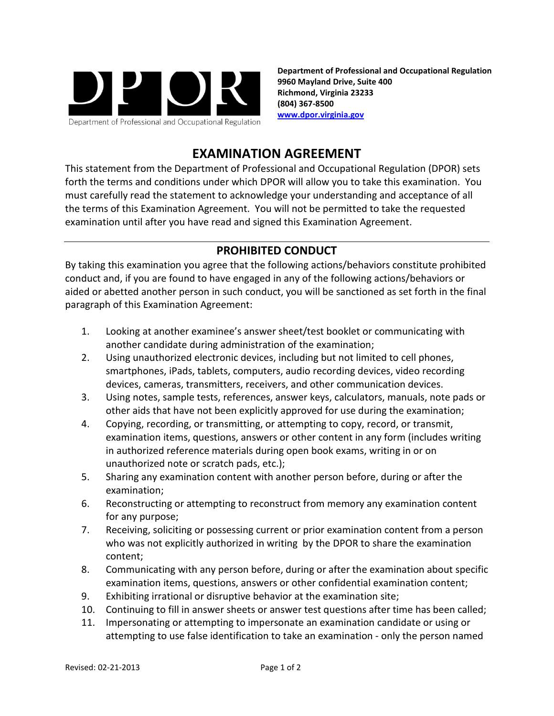

**Department of Professional and Occupational Regulation 9960 Mayland Drive, Suite 400 Richmond, Virginia 23233 (804) 367-8500 www.dpor.virginia.gov**

## **EXAMINATION AGREEMENT**

This statement from the Department of Professional and Occupational Regulation (DPOR) sets forth the terms and conditions under which DPOR will allow you to take this examination. You must carefully read the statement to acknowledge your understanding and acceptance of all the terms of this Examination Agreement. You will not be permitted to take the requested examination until after you have read and signed this Examination Agreement.

## **PROHIBITED CONDUCT**

By taking this examination you agree that the following actions/behaviors constitute prohibited conduct and, if you are found to have engaged in any of the following actions/behaviors or aided or abetted another person in such conduct, you will be sanctioned as set forth in the final paragraph of this Examination Agreement:

- 1. Looking at another examinee's answer sheet/test booklet or communicating with another candidate during administration of the examination;
- 2. Using unauthorized electronic devices, including but not limited to cell phones, smartphones, iPads, tablets, computers, audio recording devices, video recording devices, cameras, transmitters, receivers, and other communication devices.
- 3. Using notes, sample tests, references, answer keys, calculators, manuals, note pads or other aids that have not been explicitly approved for use during the examination;
- 4. Copying, recording, or transmitting, or attempting to copy, record, or transmit, examination items, questions, answers or other content in any form (includes writing in authorized reference materials during open book exams, writing in or on unauthorized note or scratch pads, etc.);
- 5. Sharing any examination content with another person before, during or after the examination;
- 6. Reconstructing or attempting to reconstruct from memory any examination content for any purpose;
- 7. Receiving, soliciting or possessing current or prior examination content from a person who was not explicitly authorized in writing by the DPOR to share the examination content;
- 8. Communicating with any person before, during or after the examination about specific examination items, questions, answers or other confidential examination content;
- 9. Exhibiting irrational or disruptive behavior at the examination site;
- 10. Continuing to fill in answer sheets or answer test questions after time has been called;
- 11. Impersonating or attempting to impersonate an examination candidate or using or attempting to use false identification to take an examination - only the person named